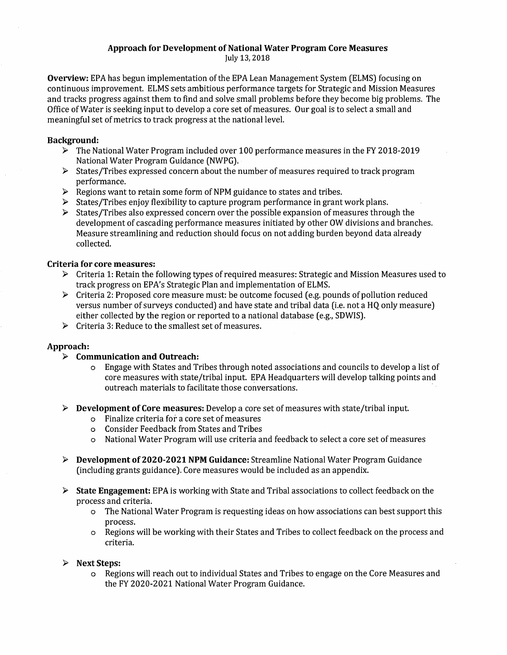#### **Approach for Development of National Water Program Core Measures** July 13,2018

**Overview:** EPA has begun implementation of the EPA Lean Management System (ELMS) focusing on continuous improvement. ELMS sets ambitious performance targets for Strategic and Mission Measures and tracks progress against them to find and solve small problems before they become big problems. The Office ofWater is seeking input to develop a core set of measures. Our goal is to select a small and meaningful set of metrics to track progress at the national level.

### **Background:**

- $\triangleright$  The National Water Program included over 100 performance measures in the FY 2018-2019 National Water Program Guidance (NWPG).
- $\triangleright$  States/Tribes expressed concern about the number of measures required to track program performance.
- $\triangleright$  Regions want to retain some form of NPM guidance to states and tribes.
- $\triangleright$  States/Tribes enjoy flexibility to capture program performance in grant work plans.
- $\triangleright$  States/Tribes also expressed concern over the possible expansion of measures through the development of cascading performance measures initiated by other OW divisions and branches. Measure streamlining and reduction should focus on not adding burden beyond data already collected.

## **Criteria for core measures:**

- $\triangleright$  Criteria 1: Retain the following types of required measures: Strategic and Mission Measures used to track progress on EPA's Strategic Plan and implementation of ELMS.
- $\triangleright$  Criteria 2: Proposed core measure must: be outcome focused (e.g. pounds of pollution reduced versus number ofsurveys conducted) and have state and tribal data (i.e. not a HQ only measure) either collected by the region or reported to a national database (e.g., SDWIS).
- $\triangleright$  Criteria 3: Reduce to the smallest set of measures.

### **Approach:**

- **> Communication and Outreach:**
	- o Engage with States and Tribes through noted associations and councils to develop a list of core measures with state/tribal input. EPA Headquarters will develop talking points and outreach materials to facilitate those conversations.
- > **Development of Core measures:** Develop a core set of measures with state/tribal input.
	- o Finalize criteria for a core set ofmeasures
	- o Consider Feedback from States and Tribes
	- o National Water Program will use criteria and feedback to select a core set of measures
- > **Development of 2020-2021 NPM Guidance:** Streamline National Water Program Guidance (including grants guidance). Core measures would be included as an appendix.
- > **State Engagement:** EPA is working with State and Tribal associations to collect feedback on the process and criteria.
	- o The National Water Program is requesting ideas on how associations can bestsupport this process.
	- o Regions will be working with their States and Tribes to collect feedback on the process and criteria.

### **> Next Steps:**

o Regions will reach out to individual States and Tribes to engage on the Core Measures and the FY 2020-2021 National Water Program Guidance.